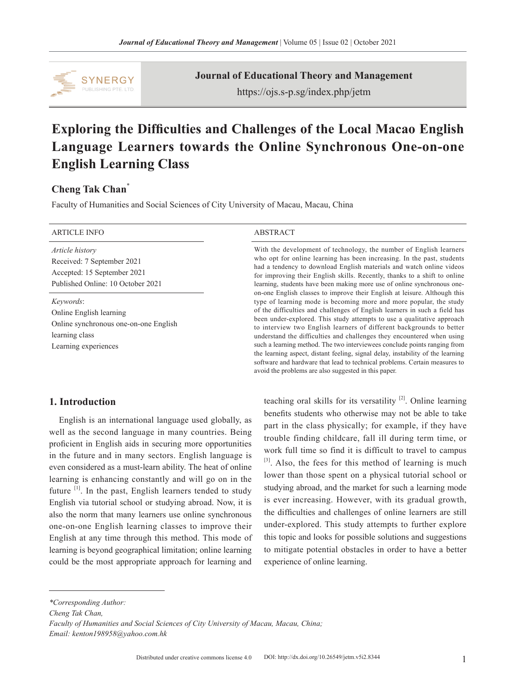

**Journal of Educational Theory and Management**

https://ojs.s-p.sg/index.php/jetm

# **Exploring the Difficulties and Challenges of the Local Macao English Language Learners towards the Online Synchronous One-on-one English Learning Class**

## **Cheng Tak Chan**\*

Faculty of Humanities and Social Sciences of City University of Macau, Macau, China

| <b>ARTICLE INFO</b>                                                                                                     | <b>ABSTRACT</b>                                                                                                                                                                                                                                                                                                                                                                                                                                                                                                                                                                                                                                                                                                                                                                                                                                                                                                                                                                                                                                                                                                                                 |
|-------------------------------------------------------------------------------------------------------------------------|-------------------------------------------------------------------------------------------------------------------------------------------------------------------------------------------------------------------------------------------------------------------------------------------------------------------------------------------------------------------------------------------------------------------------------------------------------------------------------------------------------------------------------------------------------------------------------------------------------------------------------------------------------------------------------------------------------------------------------------------------------------------------------------------------------------------------------------------------------------------------------------------------------------------------------------------------------------------------------------------------------------------------------------------------------------------------------------------------------------------------------------------------|
| Article history<br>Received: 7 September 2021<br>Accepted: 15 September 2021<br>Published Online: 10 October 2021       | With the development of technology, the number of English learners<br>who opt for online learning has been increasing. In the past, students<br>had a tendency to download English materials and watch online videos<br>for improving their English skills. Recently, thanks to a shift to online<br>learning, students have been making more use of online synchronous one-<br>on-one English classes to improve their English at leisure. Although this<br>type of learning mode is becoming more and more popular, the study<br>of the difficulties and challenges of English learners in such a field has<br>been under-explored. This study attempts to use a qualitative approach<br>to interview two English learners of different backgrounds to better<br>understand the difficulties and challenges they encountered when using<br>such a learning method. The two interviewees conclude points ranging from<br>the learning aspect, distant feeling, signal delay, instability of the learning<br>software and hardware that lead to technical problems. Certain measures to<br>avoid the problems are also suggested in this paper. |
| Keywords:<br>Online English learning<br>Online synchronous one-on-one English<br>learning class<br>Learning experiences |                                                                                                                                                                                                                                                                                                                                                                                                                                                                                                                                                                                                                                                                                                                                                                                                                                                                                                                                                                                                                                                                                                                                                 |

## **1. Introduction**

English is an international language used globally, as well as the second language in many countries. Being proficient in English aids in securing more opportunities in the future and in many sectors. English language is even considered as a must-learn ability. The heat of online learning is enhancing constantly and will go on in the future <sup>[1]</sup>. In the past, English learners tended to study English via tutorial school or studying abroad. Now, it is also the norm that many learners use online synchronous one-on-one English learning classes to improve their English at any time through this method. This mode of learning is beyond geographical limitation; online learning could be the most appropriate approach for learning and

teaching oral skills for its versatility [2]. Online learning benefits students who otherwise may not be able to take part in the class physically; for example, if they have trouble finding childcare, fall ill during term time, or work full time so find it is difficult to travel to campus [3]. Also, the fees for this method of learning is much lower than those spent on a physical tutorial school or studying abroad, and the market for such a learning mode is ever increasing. However, with its gradual growth, the difficulties and challenges of online learners are still under-explored. This study attempts to further explore this topic and looks for possible solutions and suggestions to mitigate potential obstacles in order to have a better experience of online learning.

*\*Corresponding Author:*

*Cheng Tak Chan,*

*Faculty of Humanities and Social Sciences of City University of Macau, Macau, China; Email: kenton198958@yahoo.com.hk*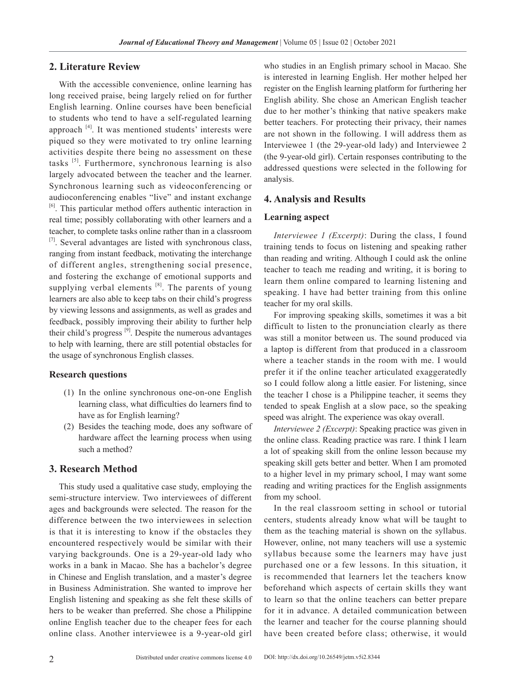#### **2. Literature Review**

With the accessible convenience, online learning has long received praise, being largely relied on for further English learning. Online courses have been beneficial to students who tend to have a self-regulated learning approach  $[4]$ . It was mentioned students' interests were piqued so they were motivated to try online learning activities despite there being no assessment on these tasks [5]. Furthermore, synchronous learning is also largely advocated between the teacher and the learner. Synchronous learning such as videoconferencing or audioconferencing enables "live" and instant exchange [6]. This particular method offers authentic interaction in real time; possibly collaborating with other learners and a teacher, to complete tasks online rather than in a classroom  $[7]$ . Several advantages are listed with synchronous class, ranging from instant feedback, motivating the interchange of different angles, strengthening social presence, and fostering the exchange of emotional supports and supplying verbal elements  $[8]$ . The parents of young learners are also able to keep tabs on their child's progress by viewing lessons and assignments, as well as grades and feedback, possibly improving their ability to further help their child's progress  $[9]$ . Despite the numerous advantages to help with learning, there are still potential obstacles for the usage of synchronous English classes.

#### **Research questions**

- (1) In the online synchronous one-on-one English learning class, what difficulties do learners find to have as for English learning?
- (2) Besides the teaching mode, does any software of hardware affect the learning process when using such a method?

## **3. Research Method**

This study used a qualitative case study, employing the semi-structure interview. Two interviewees of different ages and backgrounds were selected. The reason for the difference between the two interviewees in selection is that it is interesting to know if the obstacles they encountered respectively would be similar with their varying backgrounds. One is a 29-year-old lady who works in a bank in Macao. She has a bachelor's degree in Chinese and English translation, and a master's degree in Business Administration. She wanted to improve her English listening and speaking as she felt these skills of hers to be weaker than preferred. She chose a Philippine online English teacher due to the cheaper fees for each online class. Another interviewee is a 9-year-old girl who studies in an English primary school in Macao. She is interested in learning English. Her mother helped her register on the English learning platform for furthering her English ability. She chose an American English teacher due to her mother's thinking that native speakers make better teachers. For protecting their privacy, their names are not shown in the following. I will address them as Interviewee 1 (the 29-year-old lady) and Interviewee 2 (the 9-year-old girl). Certain responses contributing to the addressed questions were selected in the following for analysis.

#### **4. Analysis and Results**

#### **Learning aspect**

*Interviewee 1 (Excerpt)*: During the class, I found training tends to focus on listening and speaking rather than reading and writing. Although I could ask the online teacher to teach me reading and writing, it is boring to learn them online compared to learning listening and speaking. I have had better training from this online teacher for my oral skills.

For improving speaking skills, sometimes it was a bit difficult to listen to the pronunciation clearly as there was still a monitor between us. The sound produced via a laptop is different from that produced in a classroom where a teacher stands in the room with me. I would prefer it if the online teacher articulated exaggeratedly so I could follow along a little easier. For listening, since the teacher I chose is a Philippine teacher, it seems they tended to speak English at a slow pace, so the speaking speed was alright. The experience was okay overall.

*Interviewee 2 (Excerpt)*: Speaking practice was given in the online class. Reading practice was rare. I think I learn a lot of speaking skill from the online lesson because my speaking skill gets better and better. When I am promoted to a higher level in my primary school, I may want some reading and writing practices for the English assignments from my school.

In the real classroom setting in school or tutorial centers, students already know what will be taught to them as the teaching material is shown on the syllabus. However, online, not many teachers will use a systemic syllabus because some the learners may have just purchased one or a few lessons. In this situation, it is recommended that learners let the teachers know beforehand which aspects of certain skills they want to learn so that the online teachers can better prepare for it in advance. A detailed communication between the learner and teacher for the course planning should have been created before class; otherwise, it would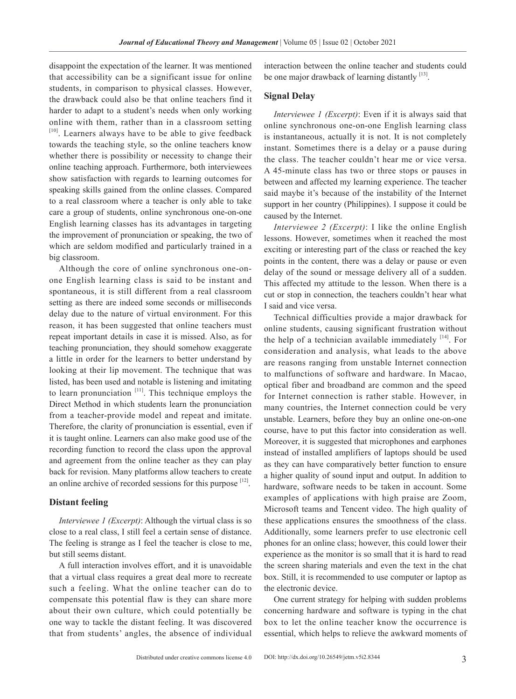disappoint the expectation of the learner. It was mentioned that accessibility can be a significant issue for online students, in comparison to physical classes. However, the drawback could also be that online teachers find it harder to adapt to a student's needs when only working online with them, rather than in a classroom setting  $[10]$ . Learners always have to be able to give feedback towards the teaching style, so the online teachers know whether there is possibility or necessity to change their online teaching approach. Furthermore, both interviewees show satisfaction with regards to learning outcomes for speaking skills gained from the online classes. Compared to a real classroom where a teacher is only able to take care a group of students, online synchronous one-on-one English learning classes has its advantages in targeting the improvement of pronunciation or speaking, the two of which are seldom modified and particularly trained in a big classroom.

Although the core of online synchronous one-onone English learning class is said to be instant and spontaneous, it is still different from a real classroom setting as there are indeed some seconds or milliseconds delay due to the nature of virtual environment. For this reason, it has been suggested that online teachers must repeat important details in case it is missed. Also, as for teaching pronunciation, they should somehow exaggerate a little in order for the learners to better understand by looking at their lip movement. The technique that was listed, has been used and notable is listening and imitating to learn pronunciation  $[11]$ . This technique employs the Direct Method in which students learn the pronunciation from a teacher-provide model and repeat and imitate. Therefore, the clarity of pronunciation is essential, even if it is taught online. Learners can also make good use of the recording function to record the class upon the approval and agreement from the online teacher as they can play back for revision. Many platforms allow teachers to create an online archive of recorded sessions for this purpose  $[12]$ .

#### **Distant feeling**

*Interviewee 1 (Excerpt)*: Although the virtual class is so close to a real class, I still feel a certain sense of distance. The feeling is strange as I feel the teacher is close to me, but still seems distant.

A full interaction involves effort, and it is unavoidable that a virtual class requires a great deal more to recreate such a feeling. What the online teacher can do to compensate this potential flaw is they can share more about their own culture, which could potentially be one way to tackle the distant feeling. It was discovered that from students' angles, the absence of individual

interaction between the online teacher and students could be one major drawback of learning distantly [13].

### **Signal Delay**

*Interviewee 1 (Excerpt)*: Even if it is always said that online synchronous one-on-one English learning class is instantaneous, actually it is not. It is not completely instant. Sometimes there is a delay or a pause during the class. The teacher couldn't hear me or vice versa. A 45-minute class has two or three stops or pauses in between and affected my learning experience. The teacher said maybe it's because of the instability of the Internet support in her country (Philippines). I suppose it could be caused by the Internet.

*Interviewee 2 (Excerpt)*: I like the online English lessons. However, sometimes when it reached the most exciting or interesting part of the class or reached the key points in the content, there was a delay or pause or even delay of the sound or message delivery all of a sudden. This affected my attitude to the lesson. When there is a cut or stop in connection, the teachers couldn't hear what I said and vice versa.

Technical difficulties provide a major drawback for online students, causing significant frustration without the help of a technician available immediately  $[14]$ . For consideration and analysis, what leads to the above are reasons ranging from unstable Internet connection to malfunctions of software and hardware. In Macao, optical fiber and broadband are common and the speed for Internet connection is rather stable. However, in many countries, the Internet connection could be very unstable. Learners, before they buy an online one-on-one course, have to put this factor into consideration as well. Moreover, it is suggested that microphones and earphones instead of installed amplifiers of laptops should be used as they can have comparatively better function to ensure a higher quality of sound input and output. In addition to hardware, software needs to be taken in account. Some examples of applications with high praise are Zoom, Microsoft teams and Tencent video. The high quality of these applications ensures the smoothness of the class. Additionally, some learners prefer to use electronic cell phones for an online class; however, this could lower their experience as the monitor is so small that it is hard to read the screen sharing materials and even the text in the chat box. Still, it is recommended to use computer or laptop as the electronic device.

One current strategy for helping with sudden problems concerning hardware and software is typing in the chat box to let the online teacher know the occurrence is essential, which helps to relieve the awkward moments of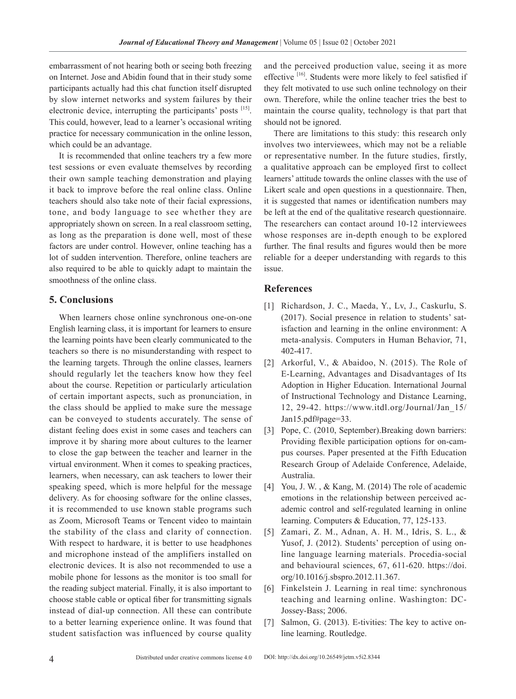embarrassment of not hearing both or seeing both freezing on Internet. Jose and Abidin found that in their study some participants actually had this chat function itself disrupted by slow internet networks and system failures by their electronic device, interrupting the participants' posts [15]. This could, however, lead to a learner's occasional writing practice for necessary communication in the online lesson, which could be an advantage.

It is recommended that online teachers try a few more test sessions or even evaluate themselves by recording their own sample teaching demonstration and playing it back to improve before the real online class. Online teachers should also take note of their facial expressions, tone, and body language to see whether they are appropriately shown on screen. In a real classroom setting, as long as the preparation is done well, most of these factors are under control. However, online teaching has a lot of sudden intervention. Therefore, online teachers are also required to be able to quickly adapt to maintain the smoothness of the online class.

## **5. Conclusions**

When learners chose online synchronous one-on-one English learning class, it is important for learners to ensure the learning points have been clearly communicated to the teachers so there is no misunderstanding with respect to the learning targets. Through the online classes, learners should regularly let the teachers know how they feel about the course. Repetition or particularly articulation of certain important aspects, such as pronunciation, in the class should be applied to make sure the message can be conveyed to students accurately. The sense of distant feeling does exist in some cases and teachers can improve it by sharing more about cultures to the learner to close the gap between the teacher and learner in the virtual environment. When it comes to speaking practices, learners, when necessary, can ask teachers to lower their speaking speed, which is more helpful for the message delivery. As for choosing software for the online classes, it is recommended to use known stable programs such as Zoom, Microsoft Teams or Tencent video to maintain the stability of the class and clarity of connection. With respect to hardware, it is better to use headphones and microphone instead of the amplifiers installed on electronic devices. It is also not recommended to use a mobile phone for lessons as the monitor is too small for the reading subject material. Finally, it is also important to choose stable cable or optical fiber for transmitting signals instead of dial-up connection. All these can contribute to a better learning experience online. It was found that student satisfaction was influenced by course quality

and the perceived production value, seeing it as more effective <sup>[16]</sup>. Students were more likely to feel satisfied if they felt motivated to use such online technology on their own. Therefore, while the online teacher tries the best to maintain the course quality, technology is that part that should not be ignored.

There are limitations to this study: this research only involves two interviewees, which may not be a reliable or representative number. In the future studies, firstly, a qualitative approach can be employed first to collect learners' attitude towards the online classes with the use of Likert scale and open questions in a questionnaire. Then, it is suggested that names or identification numbers may be left at the end of the qualitative research questionnaire. The researchers can contact around 10-12 interviewees whose responses are in-depth enough to be explored further. The final results and figures would then be more reliable for a deeper understanding with regards to this issue.

## **References**

- [1] Richardson, J. C., Maeda, Y., Lv, J., Caskurlu, S. (2017). Social presence in relation to students' satisfaction and learning in the online environment: A meta-analysis. Computers in Human Behavior, 71, 402-417.
- [2] Arkorful, V., & Abaidoo, N. (2015). The Role of E-Learning, Advantages and Disadvantages of Its Adoption in Higher Education. International Journal of Instructional Technology and Distance Learning, 12, 29-42. https://www.itdl.org/Journal/Jan\_15/ Jan15.pdf#page=33.
- [3] Pope, C. (2010, September). Breaking down barriers: Providing flexible participation options for on-campus courses. Paper presented at the Fifth Education Research Group of Adelaide Conference, Adelaide, Australia.
- [4] You, J. W., & Kang, M. (2014) The role of academic emotions in the relationship between perceived academic control and self-regulated learning in online learning. Computers & Education, 77, 125-133.
- [5] Zamari, Z. M., Adnan, A. H. M., Idris, S. L., & Yusof, J. (2012). Students' perception of using online language learning materials. Procedia-social and behavioural sciences, 67, 611-620. https://doi. org/10.1016/j.sbspro.2012.11.367.
- [6] Finkelstein J. Learning in real time: synchronous teaching and learning online. Washington: DC-Jossey-Bass; 2006.
- [7] Salmon, G. (2013). E-tivities: The key to active online learning. Routledge.